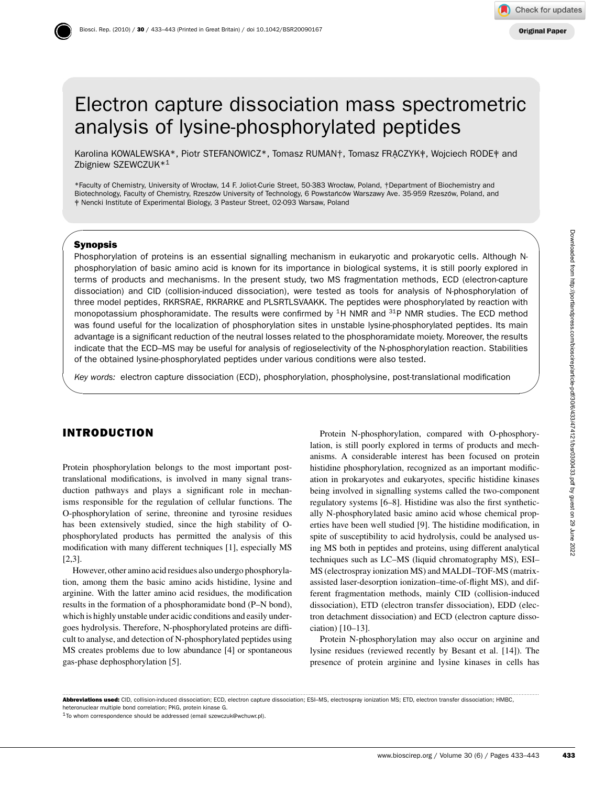# Electron capture dissociation mass spectrometric analysis of lysine-phosphorylated peptides

Karolina KOWALEWSKA\*, Piotr STEFANOWICZ\*, Tomasz RUMAN†, Tomasz FRACZYK‡, Wojciech RODE‡ and Zbigniew SZEWCZUK\*1

\*Faculty of Chemistry, University of Wrocław, 14 F. Joliot-Curie Street, 50-383 Wrocław, Poland, †Department of Biochemistry and Biotechnology, Faculty of Chemistry, Rzeszów University of Technology, 6 Powstańców Warszawy Ave. 35-959 Rzeszów, Poland, and ‡ Nencki Institute of Experimental Biology, 3 Pasteur Street, 02-093 Warsaw, Poland

#### **Synopsis**

 $\sim$ 

✫

Phosphorylation of proteins is an essential signalling mechanism in eukaryotic and prokaryotic cells. Although Nphosphorylation of basic amino acid is known for its importance in biological systems, it is still poorly explored in terms of products and mechanisms. In the present study, two MS fragmentation methods, ECD (electron-capture dissociation) and CID (collision-induced dissociation), were tested as tools for analysis of N-phosphorylation of three model peptides, RKRSRAE, RKRARKE and PLSRTLSVAAKK. The peptides were phosphorylated by reaction with monopotassium phosphoramidate. The results were confirmed by <sup>1</sup>H NMR and <sup>31</sup>P NMR studies. The ECD method was found useful for the localization of phosphorylation sites in unstable lysine-phosphorylated peptides. Its main advantage is a significant reduction of the neutral losses related to the phosphoramidate moiety. Moreover, the results indicate that the ECD–MS may be useful for analysis of regioselectivity of the N-phosphorylation reaction. Stabilities of the obtained lysine-phosphorylated peptides under various conditions were also tested.

*Key words:* electron capture dissociation (ECD), phosphorylation, phospholysine, post-translational modification

# **INTRODUCTION**

Protein phosphorylation belongs to the most important posttranslational modifications, is involved in many signal transduction pathways and plays a significant role in mechanisms responsible for the regulation of cellular functions. The O-phosphorylation of serine, threonine and tyrosine residues has been extensively studied, since the high stability of Ophosphorylated products has permitted the analysis of this modification with many different techniques [1], especially MS [2,3].

However, other amino acid residues also undergo phosphorylation, among them the basic amino acids histidine, lysine and arginine. With the latter amino acid residues, the modification results in the formation of a phosphoramidate bond (P–N bond), which is highly unstable under acidic conditions and easily undergoes hydrolysis. Therefore, N-phosphorylated proteins are difficult to analyse, and detection of N-phosphorylated peptides using MS creates problems due to low abundance [4] or spontaneous gas-phase dephosphorylation [5].

Protein N-phosphorylation, compared with O-phosphorylation, is still poorly explored in terms of products and mechanisms. A considerable interest has been focused on protein histidine phosphorylation, recognized as an important modification in prokaryotes and eukaryotes, specific histidine kinases being involved in signalling systems called the two-component regulatory systems [6–8]. Histidine was also the first synthetically N-phosphorylated basic amino acid whose chemical properties have been well studied [9]. The histidine modification, in spite of susceptibility to acid hydrolysis, could be analysed using MS both in peptides and proteins, using different analytical techniques such as LC–MS (liquid chromatography MS), ESI– MS (electrospray ionization MS) and MALDI–TOF-MS (matrixassisted laser-desorption ionization–time-of-flight MS), and different fragmentation methods, mainly CID (collision-induced dissociation), ETD (electron transfer dissociation), EDD (electron detachment dissociation) and ECD (electron capture dissociation) [10–13]. Fries. Atthough N<br>
In systems, it is still poorly explored in<br>
factation methods, ECD (electron-capture<br>
is for analysis of N-phosphorylation of<br>
since the phosphorylated by reaction with<br>
an 4<sup>34</sup>P NMR studies. The ECD m

Protein N-phosphorylation may also occur on arginine and lysine residues (reviewed recently by Besant et al. [14]). The presence of protein arginine and lysine kinases in cells has

............................................................................................................................................................................................................................................................................................................ **Abbreviations used:** CID, collision-induced dissociation; ECD, electron capture dissociation; ESI–MS, electrospray ionization MS; ETD, electron transfer dissociation; HMBC, heteronuclear multiple bond correlation; PKG, protein kinase G.

1To whom correspondence should be addressed (email szewczuk@wchuwr.pl).

✩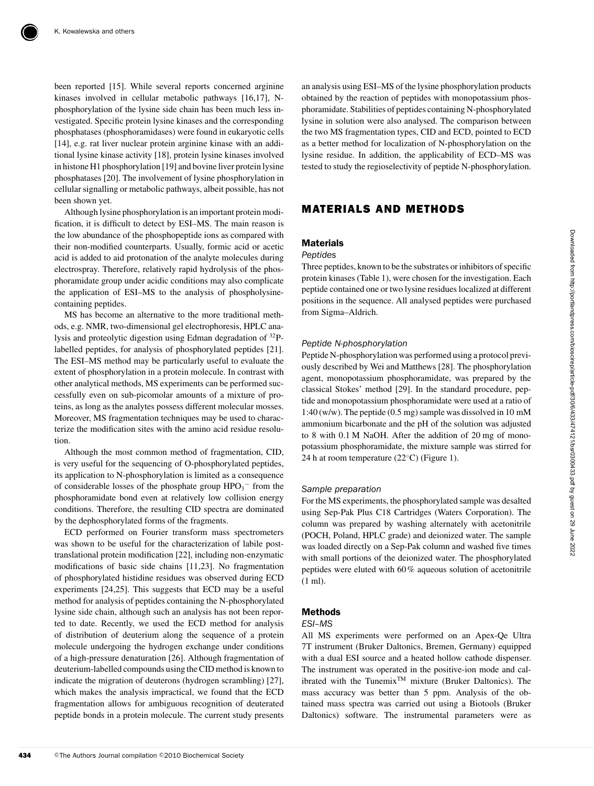been reported [15]. While several reports concerned arginine kinases involved in cellular metabolic pathways [16,17], Nphosphorylation of the lysine side chain has been much less investigated. Specific protein lysine kinases and the corresponding phosphatases (phosphoramidases) were found in eukaryotic cells [14], e.g. rat liver nuclear protein arginine kinase with an additional lysine kinase activity [18], protein lysine kinases involved in histone H1 phosphorylation [19] and bovine liver protein lysine phosphatases [20]. The involvement of lysine phosphorylation in cellular signalling or metabolic pathways, albeit possible, has not been shown yet.

Although lysine phosphorylation is an important protein modification, it is difficult to detect by ESI–MS. The main reason is the low abundance of the phosphopeptide ions as compared with their non-modified counterparts. Usually, formic acid or acetic acid is added to aid protonation of the analyte molecules during electrospray. Therefore, relatively rapid hydrolysis of the phosphoramidate group under acidic conditions may also complicate the application of ESI–MS to the analysis of phospholysinecontaining peptides.

MS has become an alternative to the more traditional methods, e.g. NMR, two-dimensional gel electrophoresis, HPLC analysis and proteolytic digestion using Edman degradation of 32Plabelled peptides, for analysis of phosphorylated peptides [21]. The ESI–MS method may be particularly useful to evaluate the extent of phosphorylation in a protein molecule. In contrast with other analytical methods, MS experiments can be performed successfully even on sub-picomolar amounts of a mixture of proteins, as long as the analytes possess different molecular mosses. Moreover, MS fragmentation techniques may be used to characterize the modification sites with the amino acid residue resolution.

Although the most common method of fragmentation, CID, is very useful for the sequencing of O-phosphorylated peptides, its application to N-phosphorylation is limited as a consequence of considerable losses of the phosphate group  $HPO<sub>3</sub><sup>-</sup>$  from the phosphoramidate bond even at relatively low collision energy conditions. Therefore, the resulting CID spectra are dominated by the dephosphorylated forms of the fragments.

ECD performed on Fourier transform mass spectrometers was shown to be useful for the characterization of labile posttranslational protein modification [22], including non-enzymatic modifications of basic side chains [11,23]. No fragmentation of phosphorylated histidine residues was observed during ECD experiments [24,25]. This suggests that ECD may be a useful method for analysis of peptides containing the N-phosphorylated lysine side chain, although such an analysis has not been reported to date. Recently, we used the ECD method for analysis of distribution of deuterium along the sequence of a protein molecule undergoing the hydrogen exchange under conditions of a high-pressure denaturation [26]. Although fragmentation of deuterium-labelled compounds using the CID method is known to indicate the migration of deuterons (hydrogen scrambling) [27], which makes the analysis impractical, we found that the ECD fragmentation allows for ambiguous recognition of deuterated peptide bonds in a protein molecule. The current study presents an analysis using ESI–MS of the lysine phosphorylation products obtained by the reaction of peptides with monopotassium phosphoramidate. Stabilities of peptides containing N-phosphorylated lysine in solution were also analysed. The comparison between the two MS fragmentation types, CID and ECD, pointed to ECD as a better method for localization of N-phosphorylation on the lysine residue. In addition, the applicability of ECD–MS was tested to study the regioselectivity of peptide N-phosphorylation.

## **MATERIALS AND METHODS**

## **Materials**

#### *Peptides*

Three peptides, known to be the substrates or inhibitors of specific protein kinases (Table 1), were chosen for the investigation. Each peptide contained one or two lysine residues localized at different positions in the sequence. All analysed peptides were purchased from Sigma–Aldrich.

#### *Peptide N-phosphorylation*

Peptide N-phosphorylation was performed using a protocol previously described by Wei and Matthews [28]. The phosphorylation agent, monopotassium phosphoramidate, was prepared by the classical Stokes' method [29]. In the standard procedure, peptide and monopotassium phosphoramidate were used at a ratio of 1:40 (w/w). The peptide (0.5 mg) sample was dissolved in 10 mM ammonium bicarbonate and the pH of the solution was adjusted to 8 with 0.1 M NaOH. After the addition of 20 mg of monopotassium phosphoramidate, the mixture sample was stirred for 24 h at room temperature (22◦C) (Figure 1).

#### *Sample preparation*

For the MS experiments, the phosphorylated sample was desalted using Sep-Pak Plus C18 Cartridges (Waters Corporation). The column was prepared by washing alternately with acetonitrile (POCH, Poland, HPLC grade) and deionized water. The sample was loaded directly on a Sep-Pak column and washed five times with small portions of the deionized water. The phosphorylated peptides were eluted with 60% aqueous solution of acetonitrile (1 ml).

## **Methods**

#### *ESI–MS*

All MS experiments were performed on an Apex-Qe Ultra 7T instrument (Bruker Daltonics, Bremen, Germany) equipped with a dual ESI source and a heated hollow cathode dispenser. The instrument was operated in the positive-ion mode and calibrated with the Tunemix<sup>TM</sup> mixture (Bruker Daltonics). The mass accuracy was better than 5 ppm. Analysis of the obtained mass spectra was carried out using a Biotools (Bruker Daltonics) software. The instrumental parameters were as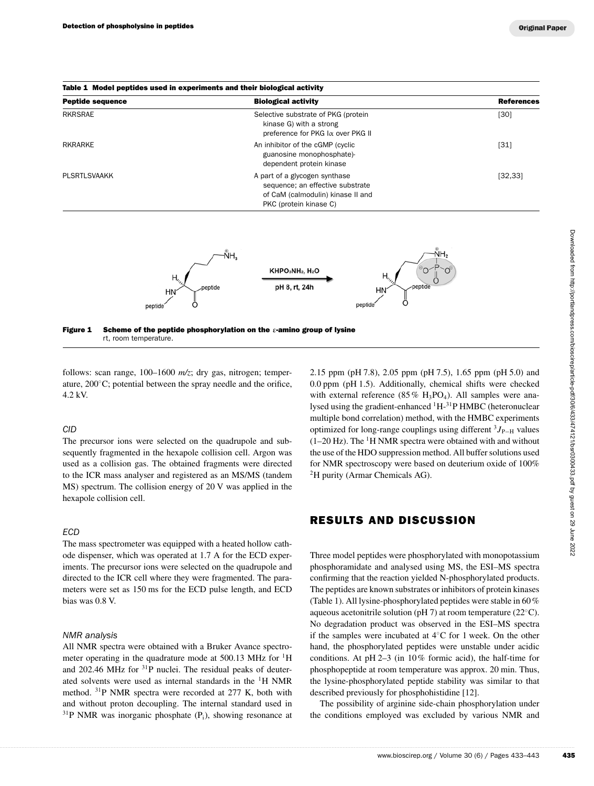| <b>Peptide sequence</b> | <b>Biological activity</b>                                                                                                       | <b>References</b> |
|-------------------------|----------------------------------------------------------------------------------------------------------------------------------|-------------------|
| <b>RKRSRAE</b>          | Selective substrate of PKG (protein<br>kinase G) with a strong<br>preference for PKG $\alpha$ over PKG II                        | [30]              |
| RKRARKE                 | An inhibitor of the cGMP (cyclic<br>guanosine monophosphate)-<br>dependent protein kinase                                        | [31]              |
| PLSRTLSVAAKK            | A part of a glycogen synthase<br>sequence; an effective substrate<br>of CaM (calmodulin) kinase II and<br>PKC (protein kinase C) | [32, 33]          |



**Figure 1 Scheme of the peptide phosphorylation on the ε-amino group of lysine** rt, room temperature.

follows: scan range, 100–1600 *m/z*; dry gas, nitrogen; temperature, 200◦C; potential between the spray needle and the orifice, 4.2 kV.

## *CID*

The precursor ions were selected on the quadrupole and subsequently fragmented in the hexapole collision cell. Argon was used as a collision gas. The obtained fragments were directed to the ICR mass analyser and registered as an MS/MS (tandem MS) spectrum. The collision energy of 20 V was applied in the hexapole collision cell.

## *ECD*

The mass spectrometer was equipped with a heated hollow cathode dispenser, which was operated at 1.7 A for the ECD experiments. The precursor ions were selected on the quadrupole and directed to the ICR cell where they were fragmented. The parameters were set as 150 ms for the ECD pulse length, and ECD bias was 0.8 V.

#### *NMR analysis*

All NMR spectra were obtained with a Bruker Avance spectrometer operating in the quadrature mode at  $500.13$  MHz for  $1H$ and 202.46 MHz for <sup>31</sup>P nuclei. The residual peaks of deuterated solvents were used as internal standards in the 1H NMR method. 31P NMR spectra were recorded at 277 K, both with and without proton decoupling. The internal standard used in  $31P$  NMR was inorganic phosphate (P<sub>i</sub>), showing resonance at

2.15 ppm (pH 7.8), 2.05 ppm (pH 7.5), 1.65 ppm (pH 5.0) and 0.0 ppm (pH 1.5). Additionally, chemical shifts were checked with external reference (85%  $H_3PO_4$ ). All samples were analysed using the gradient-enhanced <sup>1</sup>H-<sup>31</sup>P HMBC (heteronuclear multiple bond correlation) method, with the HMBC experiments optimized for long-range couplings using different <sup>3</sup>*J*<sub>P−H</sub> values  $(1–20 Hz)$ . The <sup>1</sup>H NMR spectra were obtained with and without the use of the HDO suppression method. All buffer solutions used for NMR spectroscopy were based on deuterium oxide of 100% <sup>2</sup>H purity (Armar Chemicals AG).

## **RESULTS AND DISCUSSION**

Three model peptides were phosphorylated with monopotassium phosphoramidate and analysed using MS, the ESI–MS spectra confirming that the reaction yielded N-phosphorylated products. The peptides are known substrates or inhibitors of protein kinases (Table 1). All lysine-phosphorylated peptides were stable in 60% aqueous acetonitrile solution (pH 7) at room temperature (22◦C). No degradation product was observed in the ESI–MS spectra if the samples were incubated at 4◦C for 1 week. On the other hand, the phosphorylated peptides were unstable under acidic conditions. At pH 2–3 (in 10% formic acid), the half-time for phosphopeptide at room temperature was approx. 20 min. Thus, the lysine-phosphorylated peptide stability was similar to that described previously for phosphohistidine [12]. We also the solution (pH 7.5), 1.65 ppm (pH 5.0) and<br>
Additionally, chemical shifts were checked<br>
energe (85 % H<sub>3</sub>PO<sub>4</sub>). All samples were ana-<br>
diation) method, with the HMBC (netronuclear angularities)<br>
diation in meth

The possibility of arginine side-chain phosphorylation under the conditions employed was excluded by various NMR and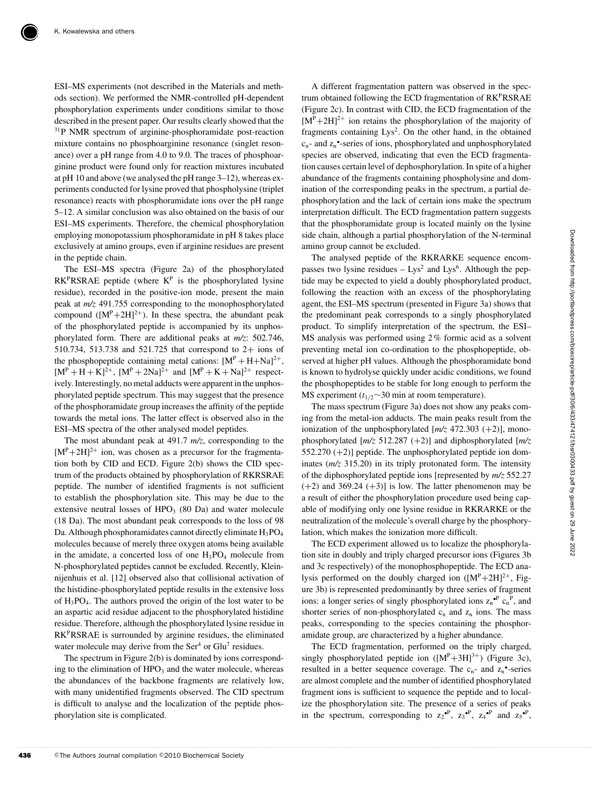ESI–MS experiments (not described in the Materials and methods section). We performed the NMR-controlled pH-dependent phosphorylation experiments under conditions similar to those described in the present paper. Our results clearly showed that the 31P NMR spectrum of arginine-phosphoramidate post-reaction mixture contains no phosphoarginine resonance (singlet resonance) over a pH range from 4.0 to 9.0. The traces of phosphoarginine product were found only for reaction mixtures incubated at pH 10 and above (we analysed the pH range 3–12), whereas experiments conducted for lysine proved that phospholysine (triplet resonance) reacts with phosphoramidate ions over the pH range 5–12. A similar conclusion was also obtained on the basis of our ESI–MS experiments. Therefore, the chemical phosphorylation employing monopotassium phosphoramidate in pH 8 takes place exclusively at amino groups, even if arginine residues are present in the peptide chain.

The ESI–MS spectra (Figure 2a) of the phosphorylated  $RK<sup>p</sup>RSRAE$  peptide (where  $K<sup>p</sup>$  is the phosphorylated lysine residue), recorded in the positive-ion mode, present the main peak at *m/z* 491.755 corresponding to the monophosphorylated compound  $([M^P+2H]^{2+})$ . In these spectra, the abundant peak of the phosphorylated peptide is accompanied by its unphosphorylated form. There are additional peaks at *m/z*: 502.746, 510.734, 513.738 and 521.725 that correspond to 2+ ions of the phosphopeptide containing metal cations:  $[M^P + H + Na]^{2+}$ ,  $[M^P + H + K]^2$ <sup>+</sup>,  $[M^P + 2Na]^2$ <sup>+</sup> and  $[M^P + K + Na]^2$ <sup>+</sup> respectively. Interestingly, no metal adducts were apparent in the unphosphorylated peptide spectrum. This may suggest that the presence of the phosphoramidate group increases the affinity of the peptide towards the metal ions. The latter effect is observed also in the ESI–MS spectra of the other analysed model peptides.

The most abundant peak at 491.7 *m/z*, corresponding to the  $[M^P+2H]^{2+}$  ion, was chosen as a precursor for the fragmentation both by CID and ECD. Figure 2(b) shows the CID spectrum of the products obtained by phosphorylation of RKRSRAE peptide. The number of identified fragments is not sufficient to establish the phosphorylation site. This may be due to the extensive neutral losses of  $HPO<sub>3</sub>$  (80 Da) and water molecule (18 Da). The most abundant peak corresponds to the loss of 98 Da. Although phosphoramidates cannot directly eliminate H<sub>3</sub>PO<sub>4</sub> molecules because of merely three oxygen atoms being available in the amidate, a concerted loss of one  $H_3PO_4$  molecule from N-phosphorylated peptides cannot be excluded. Recently, Kleinnijenhuis et al. [12] observed also that collisional activation of the histidine-phosphorylated peptide results in the extensive loss of H3PO4. The authors proved the origin of the lost water to be an aspartic acid residue adjacent to the phosphorylated histidine residue. Therefore, although the phosphorylated lysine residue in RKPRSRAE is surrounded by arginine residues, the eliminated water molecule may derive from the  $\text{Ser}^4$  or  $\text{Glu}^7$  residues.

The spectrum in Figure 2(b) is dominated by ions corresponding to the elimination of HPO<sub>3</sub> and the water molecule, whereas the abundances of the backbone fragments are relatively low, with many unidentified fragments observed. The CID spectrum is difficult to analyse and the localization of the peptide phosphorylation site is complicated.

A different fragmentation pattern was observed in the spectrum obtained following the ECD fragmentation of RK<sup>P</sup>RSRAE (Figure 2c). In contrast with CID, the ECD fragmentation of the  $[M^P+2H]^{2+}$  ion retains the phosphorylation of the majority of fragments containing Lys<sup>2</sup>. On the other hand, in the obtained  $c_n$ - and  $z_n$ <sup>-</sup>-series of ions, phosphorylated and unphosphorylated species are observed, indicating that even the ECD fragmentation causes certain level of dephosphorylation. In spite of a higher abundance of the fragments containing phospholysine and domination of the corresponding peaks in the spectrum, a partial dephosphorylation and the lack of certain ions make the spectrum interpretation difficult. The ECD fragmentation pattern suggests that the phosphoramidate group is located mainly on the lysine side chain, although a partial phosphorylation of the N-terminal amino group cannot be excluded.

The analysed peptide of the RKRARKE sequence encompasses two lysine residues  $-$  Lys<sup>2</sup> and Lys<sup>6</sup>. Although the peptide may be expected to yield a doubly phosphorylated product, following the reaction with an excess of the phosphorylating agent, the ESI–MS spectrum (presented in Figure 3a) shows that the predominant peak corresponds to a singly phosphorylated product. To simplify interpretation of the spectrum, the ESI– MS analysis was performed using 2% formic acid as a solvent preventing metal ion co-ordination to the phosphopeptide, observed at higher pH values. Although the phosphoramidate bond is known to hydrolyse quickly under acidic conditions, we found the phosphopeptides to be stable for long enough to perform the MS experiment ( $t_{1/2}$ ∼30 min at room temperature).

The mass spectrum (Figure 3a) does not show any peaks coming from the metal-ion adducts. The main peaks result from the ionization of the unphosphorylated  $\left[\frac{m}{z} \right]$  472.303 (+2), monophosphorylated [*m/z* 512.287 (+2)] and diphosphorylated [*m/z* 552.270 (+2)] peptide. The unphosphorylated peptide ion dominates (*m/z* 315.20) in its triply protonated form. The intensity of the diphosphorylated peptide ions [represented by *m/z* 552.27  $(+2)$  and 369.24  $(+3)$ ] is low. The latter phenomenon may be a result of either the phosphorylation procedure used being capable of modifying only one lysine residue in RKRARKE or the neutralization of the molecule's overall charge by the phosphorylation, which makes the ionization more difficult.

The ECD experiment allowed us to localize the phosphorylation site in doubly and triply charged precursor ions (Figures 3b and 3c respectively) of the monophosphopeptide. The ECD analysis performed on the doubly charged ion  $([M^P+2H]^{2+}$ , Figure 3b) is represented predominantly by three series of fragment ions: a longer series of singly phosphorylated ions  $z_n^{\bullet}$ <sup>P</sup>  $c_n^P$ , and shorter series of non-phosphorylated  $c_n$  and  $z_n$  ions. The mass peaks, corresponding to the species containing the phosphoramidate group, are characterized by a higher abundance.

The ECD fragmentation, performed on the triply charged, singly phosphorylated peptide ion  $([M^P+3H]^{3+})$  (Figure 3c), resulted in a better sequence coverage. The  $c_n$ - and  $z_n$ <sup>•</sup>-series are almost complete and the number of identified phosphorylated fragment ions is sufficient to sequence the peptide and to localize the phosphorylation site. The presence of a series of peaks in the spectrum, corresponding to  $z_2^{\bullet P}$ ,  $z_3^{\bullet P}$ ,  $z_4^{\bullet P}$  and  $z_5^{\bullet P}$ ,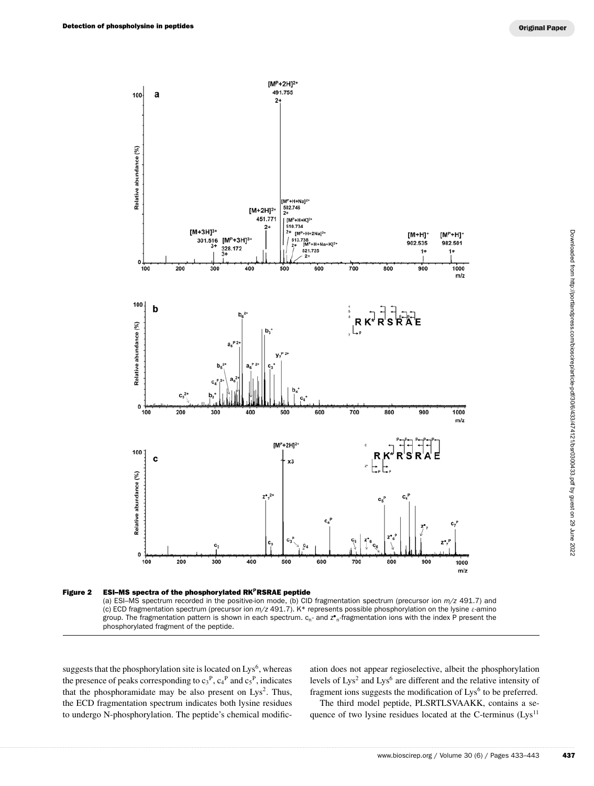

**Figure 2 ESI–MS spectra of the phosphorylated RKPRSRAE peptide** (a) ESI–MS spectrum recorded in the positive-ion mode, (b) CID fragmentation spectrum (precursor ion *m/z* 491.7) and (c) ECD fragmentation spectrum (precursor ion *m/z* 491.7). K\* represents possible phosphorylation on the lysine ε-amino group. The fragmentation pattern is shown in each spectrum. c<sub>n</sub>- and z•<sub>n</sub>-fragmentation ions with the index P present the phosphorylated fragment of the peptide.

suggests that the phosphorylation site is located on Lys<sup>6</sup>, whereas the presence of peaks corresponding to  $c_3^P$ ,  $c_4^P$  and  $c_5^P$ , indicates that the phosphoramidate may be also present on  $Lys^2$ . Thus, the ECD fragmentation spectrum indicates both lysine residues to undergo N-phosphorylation. The peptide's chemical modific-

ation does not appear regioselective, albeit the phosphorylation levels of  $Lys^2$  and  $Lys^6$  are different and the relative intensity of fragment ions suggests the modification of Lys<sup>6</sup> to be preferred.

The third model peptide, PLSRTLSVAAKK, contains a sequence of two lysine residues located at the C-terminus (Lys<sup>11</sup>)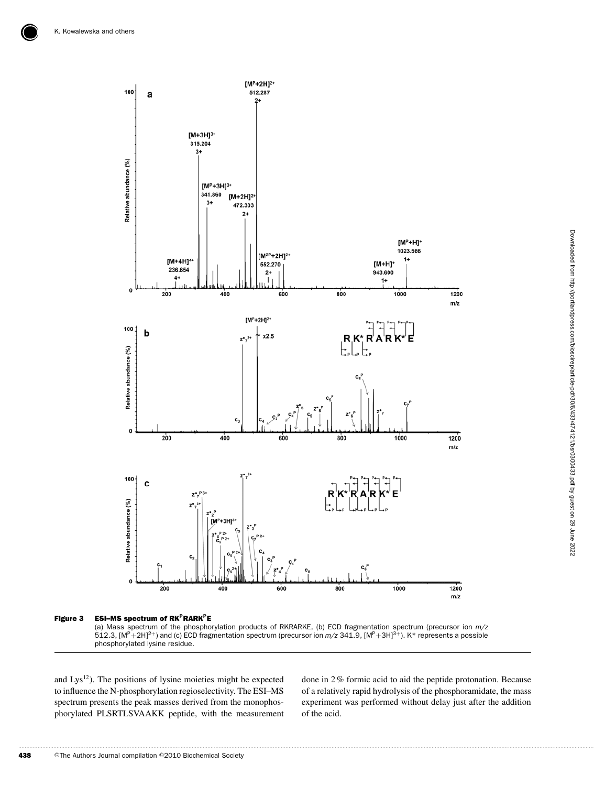

**Figure 3 ESI–MS spectrum of RKPRARKPE**

(a) Mass spectrum of the phosphorylation products of RKRARKE, (b) ECD fragmentation spectrum (precursor ion *m/z*<br>512.3, [M<sup>P</sup>+2H]<sup>2+</sup>) and (c) ECD fragmentation spectrum (precursor ion *m/z* 341.9, [M<sup>P</sup>+3H]<sup>3+</sup>). K\* rep phosphorylated lysine residue.

and Lys<sup>12</sup>). The positions of lysine moieties might be expected to influence the N-phosphorylation regioselectivity. The ESI–MS spectrum presents the peak masses derived from the monophosphorylated PLSRTLSVAAKK peptide, with the measurement

done in 2% formic acid to aid the peptide protonation. Because of a relatively rapid hydrolysis of the phosphoramidate, the mass experiment was performed without delay just after the addition of the acid.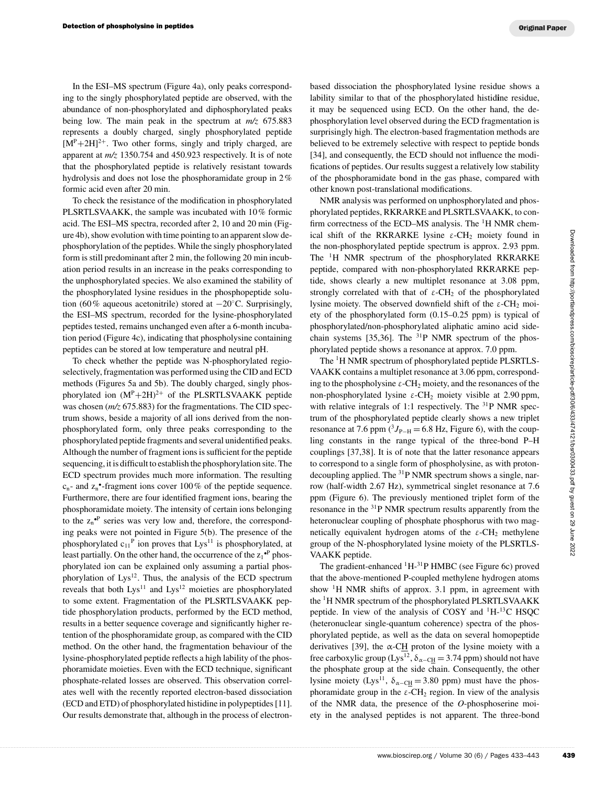In the ESI–MS spectrum (Figure 4a), only peaks corresponding to the singly phosphorylated peptide are observed, with the abundance of non-phosphorylated and diphosphorylated peaks being low. The main peak in the spectrum at *m/z* 675.883 represents a doubly charged, singly phosphorylated peptide  $[M^P+2H]^{2+}$ . Two other forms, singly and triply charged, are apparent at *m/z* 1350.754 and 450.923 respectively. It is of note that the phosphorylated peptide is relatively resistant towards hydrolysis and does not lose the phosphoramidate group in 2% formic acid even after 20 min.

To check the resistance of the modification in phosphorylated PLSRTLSVAAKK, the sample was incubated with 10% formic acid. The ESI–MS spectra, recorded after 2, 10 and 20 min (Figure 4b), show evolution with time pointing to an apparent slow dephosphorylation of the peptides. While the singly phosphorylated form is still predominant after 2 min, the following 20 min incubation period results in an increase in the peaks corresponding to the unphosphorylated species. We also examined the stability of the phosphorylated lysine residues in the phosphopeptide solution (60% aqueous acetonitrile) stored at −20◦C. Surprisingly, the ESI–MS spectrum, recorded for the lysine-phosphorylated peptides tested, remains unchanged even after a 6-month incubation period (Figure 4c), indicating that phospholysine containing peptides can be stored at low temperature and neutral pH.

To check whether the peptide was N-phosphorylated regioselectively, fragmentation was performed using the CID and ECD methods (Figures 5a and 5b). The doubly charged, singly phosphorylated ion  $(M^P+2H)^{2+}$  of the PLSRTLSVAAKK peptide was chosen (*m/z* 675.883) for the fragmentations. The CID spectrum shows, beside a majority of all ions derived from the nonphosphorylated form, only three peaks corresponding to the phosphorylated peptide fragments and several unidentified peaks. Although the number of fragment ions is sufficient for the peptide sequencing, it is difficult to establish the phosphorylation site. The ECD spectrum provides much more information. The resulting  $c_n$ - and  $z_n$ <sup>•</sup>-fragment ions cover 100% of the peptide sequence. Furthermore, there are four identified fragment ions, bearing the phosphoramidate moiety. The intensity of certain ions belonging to the  $z_n^{\bullet P}$  series was very low and, therefore, the corresponding peaks were not pointed in Figure 5(b). The presence of the phosphorylated  $c_{11}^P$  ion proves that Lys<sup>11</sup> is phosphorylated, at least partially. On the other hand, the occurrence of the  $z_1^{\bullet P}$  phosphorylated ion can be explained only assuming a partial phosphorylation of Lys<sup>12</sup>. Thus, the analysis of the ECD spectrum reveals that both  $Lys<sup>11</sup>$  and  $Lys<sup>12</sup>$  moieties are phosphorylated to some extent. Fragmentation of the PLSRTLSVAAKK peptide phosphorylation products, performed by the ECD method, results in a better sequence coverage and significantly higher retention of the phosphoramidate group, as compared with the CID method. On the other hand, the fragmentation behaviour of the lysine-phosphorylated peptide reflects a high lability of the phosphoramidate moieties. Even with the ECD technique, significant phosphate-related losses are observed. This observation correlates well with the recently reported electron-based dissociation (ECD and ETD) of phosphorylated histidine in polypeptides [11]. Our results demonstrate that, although in the process of electron-

based dissociation the phosphorylated lysine residue shows a lability similar to that of the phosphorylated histid**i**ne residue, it may be sequenced using ECD. On the other hand, the dephosphorylation level observed during the ECD fragmentation is surprisingly high. The electron-based fragmentation methods are believed to be extremely selective with respect to peptide bonds [34], and consequently, the ECD should not influence the modifications of peptides. Our results suggest a relatively low stability of the phosphoramidate bond in the gas phase, compared with other known post-translational modifications.

NMR analysis was performed on unphosphorylated and phosphorylated peptides, RKRARKE and PLSRTLSVAAKK, to confirm correctness of the ECD–MS analysis. The  ${}^{1}$ H NMR chemical shift of the RKRARKE lysine  $\varepsilon$ -CH<sub>2</sub> moiety found in the non-phosphorylated peptide spectrum is approx. 2.93 ppm. The <sup>1</sup>H NMR spectrum of the phosphorylated RKRARKE peptide, compared with non-phosphorylated RKRARKE peptide, shows clearly a new multiplet resonance at 3.08 ppm, strongly correlated with that of  $\varepsilon$ -CH<sub>2</sub> of the phosphorylated lysine moiety. The observed downfield shift of the ε-CH<sub>2</sub> moiety of the phosphorylated form (0.15–0.25 ppm) is typical of phosphorylated/non-phosphorylated aliphatic amino acid sidechain systems [35,36]. The  $31P$  NMR spectrum of the phosphorylated peptide shows a resonance at approx. 7.0 ppm.

The <sup>1</sup>H NMR spectrum of phosphorylated peptide PLSRTLS-VAAKK contains a multiplet resonance at 3.06 ppm, corresponding to the phospholysine  $\varepsilon$ -CH<sub>2</sub> moiety, and the resonances of the non-phosphorylated lysine ε-CH<sub>2</sub> moiety visible at 2.90 ppm, with relative integrals of 1:1 respectively. The  $^{31}P$  NMR spectrum of the phosphorylated peptide clearly shows a new triplet resonance at 7.6 ppm  $({}^{3}J_{\rm P-H}$  = 6.8 Hz, Figure 6), with the coupling constants in the range typical of the three-bond P–H couplings [37,38]. It is of note that the latter resonance appears to correspond to a single form of phospholysine, as with protondecoupling applied. The 31P NMR spectrum shows a single, narrow (half-width 2.67 Hz), symmetrical singlet resonance at 7.6 ppm (Figure 6). The previously mentioned triplet form of the resonance in the <sup>31</sup>P NMR spectrum results apparently from the heteronuclear coupling of phosphate phosphorus with two magnetically equivalent hydrogen atoms of the  $\varepsilon$ -CH<sub>2</sub> methylene group of the N-phosphorylated lysine moiety of the PLSRTLS-VAAKK peptide. RKRARKE lysine  $\varepsilon$ -CH<sub>3</sub> moiety found in<br>lated peridus epertum is approx. 2.93 ppm.<br>ectrum of the phosphorylated RKRARKE per-<br>with non-phosphorylated RKRARKE per-<br>observed downlifeld transforced a NOR per-<br>distributed f

The gradient-enhanced  ${}^{1}H_{2}{}^{31}P$  HMBC (see Figure 6c) proved that the above-mentioned P-coupled methylene hydrogen atoms show  $\mathrm{^{1}H}$  NMR shifts of approx. 3.1 ppm, in agreement with the 1H NMR spectrum of the phosphorylated PLSRTLSVAAKK peptide. In view of the analysis of COSY and 1H-13C HSQC (heteronuclear single-quantum coherence) spectra of the phosphorylated peptide, as well as the data on several homopeptide derivatives [39], the  $\alpha$ -CH proton of the lysine moiety with a free carboxylic group (Lys<sup>12</sup>,  $\delta_{\alpha-CH}$  = 3.74 ppm) should not have the phosphate group at the side chain. Consequently, the other lysine moiety (Lys<sup>11</sup>,  $\delta_{\alpha-CH}$  = 3.80 ppm) must have the phosphoramidate group in the  $\varepsilon$ -CH<sub>2</sub> region. In view of the analysis of the NMR data, the presence of the *O*-phosphoserine moiety in the analysed peptides is not apparent. The three-bond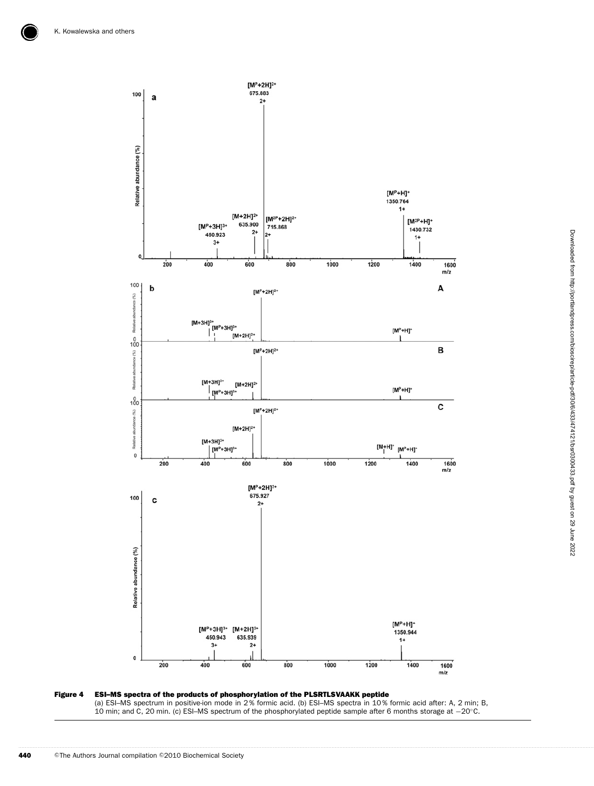

(a) ESI–MS spectrum in positive-ion mode in 2 % formic acid. (b) ESI–MS spectra in 10 % formic acid after: A, 2 min; B, 10 min; and C, 20 min. (c) ESI–MS spectrum of the phosphorylated peptide sample after 6 months storage at −20◦C.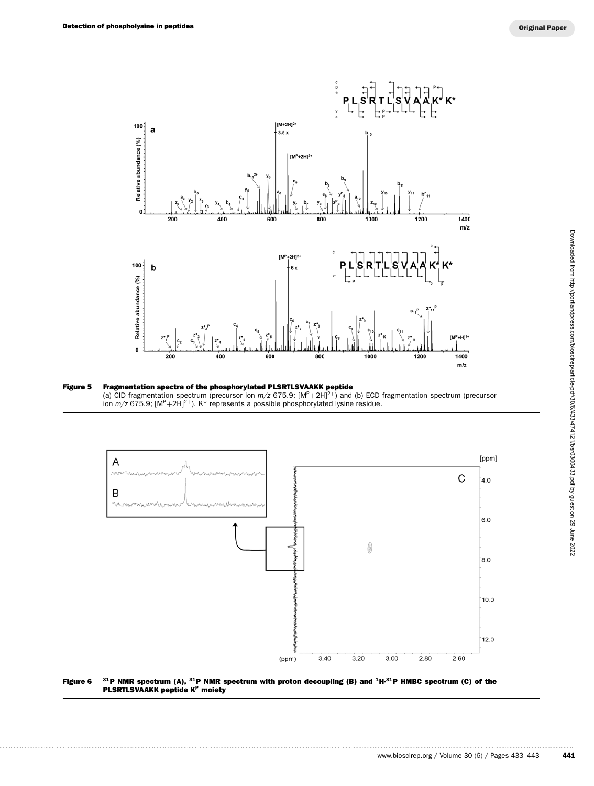





**Figure 6 <sup>31</sup>P NMR spectrum (A), <sup>31</sup>P NMR spectrum with proton decoupling (B) and <sup>1</sup>H-<sup>31</sup>P HMBC spectrum (C) of the PLSRTLSVAAKK peptide K<sup>P</sup> moiety**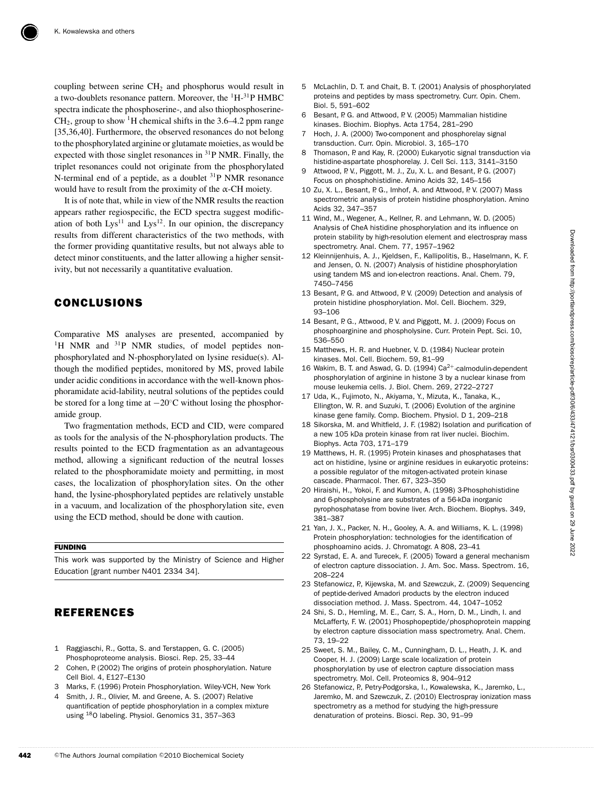coupling between serine  $CH<sub>2</sub>$  and phosphorus would result in a two-doublets resonance pattern. Moreover, the  ${}^{1}H_{-}{}^{31}P$  HMBC spectra indicate the phosphoserine-, and also thiophosphoserine- $CH<sub>2</sub>$ , group to show <sup>1</sup>H chemical shifts in the 3.6–4.2 ppm range [35,36,40]. Furthermore, the observed resonances do not belong to the phosphorylated arginine or glutamate moieties, as would be expected with those singlet resonances in  ${}^{31}P$  NMR. Finally, the triplet resonances could not originate from the phosphorylated N-terminal end of a peptide, as a doublet  $31P$  NMR resonance would have to result from the proximity of the  $\alpha$ -CH moiety.

It is of note that, while in view of the NMR results the reaction appears rather regiospecific, the ECD spectra suggest modification of both  $Lys^{11}$  and  $Lys^{12}$ . In our opinion, the discrepancy results from different characteristics of the two methods, with the former providing quantitative results, but not always able to detect minor constituents, and the latter allowing a higher sensitivity, but not necessarily a quantitative evaluation.

## **CONCLUSIONS**

Comparative MS analyses are presented, accompanied by <sup>1</sup>H NMR and  $31P$  NMR studies, of model peptides nonphosphorylated and N-phosphorylated on lysine residue(s). Although the modified peptides, monitored by MS, proved labile under acidic conditions in accordance with the well-known phosphoramidate acid-lability, neutral solutions of the peptides could be stored for a long time at −20◦C without losing the phosphoramide group.

Two fragmentation methods, ECD and CID, were compared as tools for the analysis of the N-phosphorylation products. The results pointed to the ECD fragmentation as an advantageous method, allowing a significant reduction of the neutral losses related to the phosphoramidate moiety and permitting, in most cases, the localization of phosphorylation sites. On the other hand, the lysine-phosphorylated peptides are relatively unstable in a vacuum, and localization of the phosphorylation site, even using the ECD method, should be done with caution.

#### **FUNDING**

This work was supported by the Ministry of Science and Higher Education [grant number N401 2334 34].

## **REFERENCES**

- 1 Raggiaschi, R., Gotta, S. and Terstappen, G. C. (2005) Phosphoproteome analysis. Biosci. Rep. 25, 33–44
- 2 Cohen, P. (2002) The origins of protein phosphorylation. Nature Cell Biol. 4, E127–E130
- 3 Marks, F. (1996) Protein Phosphorylation. Wiley-VCH, New York
- Smith, J. R., Olivier, M. and Greene, A. S. (2007) Relative quantification of peptide phosphorylation in a complex mixture using 18O labeling. Physiol. Genomics 31, 357–363
- 5 McLachlin, D. T. and Chait, B. T. (2001) Analysis of phosphorylated proteins and peptides by mass spectrometry. Curr. Opin. Chem. Biol. 5, 591–602
- 6 Besant, P. G. and Attwood, P. V. (2005) Mammalian histidine kinases. Biochim. Biophys. Acta 1754, 281–290
- 7 Hoch, J. A. (2000) Two-component and phosphorelay signal transduction. Curr. Opin. Microbiol. 3, 165–170
- 8 Thomason, P. and Kay, R. (2000) Eukaryotic signal transduction via histidine-aspartate phosphorelay. J. Cell Sci. 113, 3141–3150
- 9 Attwood, P. V., Piggott, M. J., Zu, X. L. and Besant, P. G. (2007) Focus on phosphohistidine. Amino Acids 32, 145–156
- 10 Zu, X. L., Besant, P. G., Imhof, A. and Attwood, P. V. (2007) Mass spectrometric analysis of protein histidine phosphorylation. Amino Acids 32, 347–357
- 11 Wind, M., Wegener, A., Kellner, R. and Lehmann, W. D. (2005) Analysis of CheA histidine phosphorylation and its influence on protein stability by high-resolution element and electrospray mass spectrometry. Anal. Chem. 77, 1957–1962
- 12 Kleinnijenhuis, A. J., Kjeldsen, F., Kallipolitis, B., Haselmann, K. F. and Jensen, O. N. (2007) Analysis of histidine phosphorylation using tandem MS and ion-electron reactions. Anal. Chem. 79, 7450–7456
- 13 Besant, P. G. and Attwood, P. V. (2009) Detection and analysis of protein histidine phosphorylation. Mol. Cell. Biochem. 329, 93–106
- 14 Besant, P. G., Attwood, P. V. and Piggott, M. J. (2009) Focus on phosphoarginine and phospholysine. Curr. Protein Pept. Sci. 10, 536–550
- 15 Matthews, H. R. and Huebner, V. D. (1984) Nuclear protein kinases. Mol. Cell. Biochem. 59, 81–99
- 16 Wakim, B. T. and Aswad, G. D. (1994) Ca<sup>2+</sup>-calmodulin-dependent phosphorylation of arginine in histone 3 by a nuclear kinase from mouse leukemia cells. J. Biol. Chem. 269, 2722–2727
- 17 Uda, K., Fujimoto, N., Akiyama, Y., Mizuta, K., Tanaka, K., Ellington, W. R. and Suzuki, T. (2006) Evolution of the arginine kinase gene family. Comp. Biochem. Physiol. D 1, 209–218
- 18 Sikorska, M. and Whitfield, J. F. (1982) Isolation and purification of a new 105 kDa protein kinase from rat liver nuclei. Biochim. Biophys. Acta 703, 171–179
- 19 Matthews, H. R. (1995) Protein kinases and phosphatases that act on histidine, lysine or arginine residues in eukaryotic proteins: a possible regulator of the mitogen-activated protein kinase cascade. Pharmacol. Ther. 67, 323–350
- 20 Hiraishi, H., Yokoi, F. and Kumon, A. (1998) 3-Phosphohistidine and 6-phospholysine are substrates of a 56-kDa inorganic pyrophosphatase from bovine liver. Arch. Biochem. Biophys. 349, 381–387
- 21 Yan, J. X., Packer, N. H., Gooley, A. A. and Williams, K. L. (1998) Protein phosphorylation: technologies for the identification of phosphoamino acids. J. Chromatogr. A 808, 23–41
- 22 Syrstad, E. A. and Turecek, F. (2005) Toward a general mechanism of electron capture dissociation. J. Am. Soc. Mass. Spectrom. 16, 208–224
- 23 Stefanowicz, P., Kijewska, M. and Szewczuk, Z. (2009) Sequencing of peptide-derived Amadori products by the electron induced dissociation method. J. Mass. Spectrom. 44, 1047–1052
- 24 Shi, S. D., Hemling, M. E., Carr, S. A., Horn, D. M., Lindh, I. and McLafferty, F. W. (2001) Phosphopeptide/phosphoprotein mapping by electron capture dissociation mass spectrometry. Anal. Chem. 73, 19–22
- 25 Sweet, S. M., Bailey, C. M., Cunningham, D. L., Heath, J. K. and Cooper, H. J. (2009) Large scale localization of protein phosphorylation by use of electron capture dissociation mass spectrometry. Mol. Cell. Proteomics 8, 904–912
- 26 Stefanowicz, P., Petry-Podgorska, I., Kowalewska, K., Jaremko, L., Jaremko, M. and Szewczuk, Z. (2010) Electrospray ionization mass spectrometry as a method for studying the high-pressure denaturation of proteins. Biosci. Rep. 30, 91–99